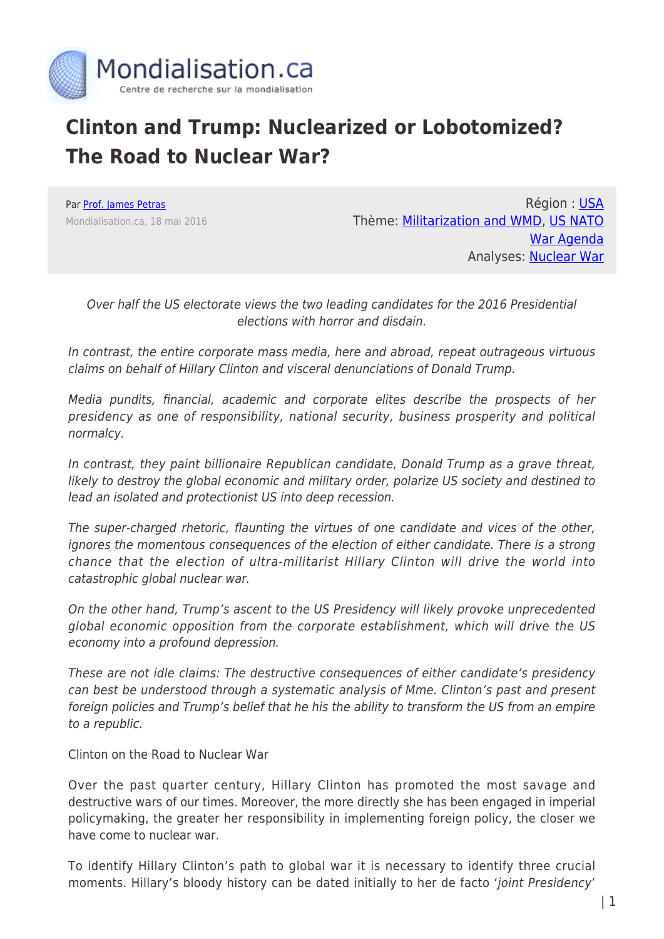

## **Clinton and Trump: Nuclearized or Lobotomized? The Road to Nuclear War?**

Par [Prof. James Petras](https://www.mondialisation.ca/author/james-petras) Mondialisation.ca, 18 mai 2016

Région : [USA](https://www.mondialisation.ca/region/usa) Thème: [Militarization and WMD,](https://www.mondialisation.ca/theme/militarization-and-wmd) [US NATO](https://www.mondialisation.ca/theme/us-nato-war-agenda) [War Agenda](https://www.mondialisation.ca/theme/us-nato-war-agenda) Analyses: [Nuclear War](https://www.mondialisation.ca/indepthreport/nuclear-war)

Over half the US electorate views the two leading candidates for the 2016 Presidential elections with horror and disdain.

In contrast, the entire corporate mass media, here and abroad, repeat outrageous virtuous claims on behalf of Hillary Clinton and visceral denunciations of Donald Trump.

Media pundits, financial, academic and corporate elites describe the prospects of her presidency as one of responsibility, national security, business prosperity and political normalcy.

In contrast, they paint billionaire Republican candidate, Donald Trump as a grave threat, likely to destroy the global economic and military order, polarize US society and destined to lead an isolated and protectionist US into deep recession.

The super-charged rhetoric, flaunting the virtues of one candidate and vices of the other, ignores the momentous consequences of the election of either candidate. There is a strong chance that the election of ultra-militarist Hillary Clinton will drive the world into catastrophic global nuclear war.

On the other hand, Trump's ascent to the US Presidency will likely provoke unprecedented global economic opposition from the corporate establishment, which will drive the US economy into a profound depression.

These are not idle claims: The destructive consequences of either candidate's presidency can best be understood through a systematic analysis of Mme. Clinton's past and present foreign policies and Trump's belief that he his the ability to transform the US from an empire to a republic.

Clinton on the Road to Nuclear War

Over the past quarter century, Hillary Clinton has promoted the most savage and destructive wars of our times. Moreover, the more directly she has been engaged in imperial policymaking, the greater her responsibility in implementing foreign policy, the closer we have come to nuclear war.

To identify Hillary Clinton's path to global war it is necessary to identify three crucial moments. Hillary's bloody history can be dated initially to her de facto 'joint Presidency'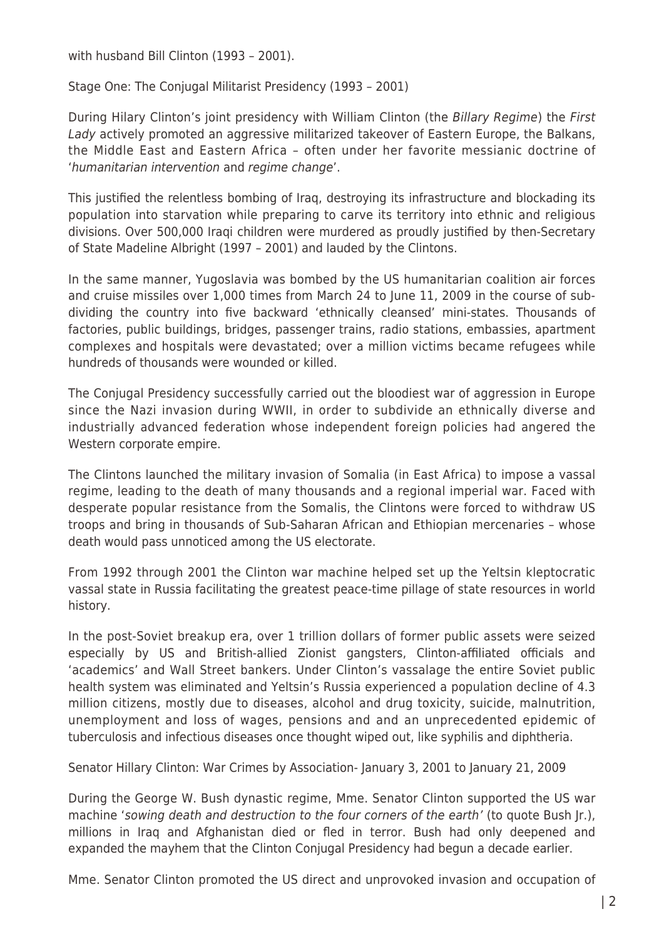with husband Bill Clinton (1993 – 2001).

Stage One: The Conjugal Militarist Presidency (1993 – 2001)

During Hilary Clinton's joint presidency with William Clinton (the Billary Regime) the First Lady actively promoted an aggressive militarized takeover of Eastern Europe, the Balkans, the Middle East and Eastern Africa – often under her favorite messianic doctrine of 'humanitarian intervention and regime change'.

This justified the relentless bombing of Iraq, destroying its infrastructure and blockading its population into starvation while preparing to carve its territory into ethnic and religious divisions. Over 500,000 Iraqi children were murdered as proudly justified by then-Secretary of State Madeline Albright (1997 – 2001) and lauded by the Clintons.

In the same manner, Yugoslavia was bombed by the US humanitarian coalition air forces and cruise missiles over 1,000 times from March 24 to June 11, 2009 in the course of subdividing the country into five backward 'ethnically cleansed' mini-states. Thousands of factories, public buildings, bridges, passenger trains, radio stations, embassies, apartment complexes and hospitals were devastated; over a million victims became refugees while hundreds of thousands were wounded or killed.

The Conjugal Presidency successfully carried out the bloodiest war of aggression in Europe since the Nazi invasion during WWII, in order to subdivide an ethnically diverse and industrially advanced federation whose independent foreign policies had angered the Western corporate empire.

The Clintons launched the military invasion of Somalia (in East Africa) to impose a vassal regime, leading to the death of many thousands and a regional imperial war. Faced with desperate popular resistance from the Somalis, the Clintons were forced to withdraw US troops and bring in thousands of Sub-Saharan African and Ethiopian mercenaries – whose death would pass unnoticed among the US electorate.

From 1992 through 2001 the Clinton war machine helped set up the Yeltsin kleptocratic vassal state in Russia facilitating the greatest peace-time pillage of state resources in world history.

In the post-Soviet breakup era, over 1 trillion dollars of former public assets were seized especially by US and British-allied Zionist gangsters, Clinton-affiliated officials and 'academics' and Wall Street bankers. Under Clinton's vassalage the entire Soviet public health system was eliminated and Yeltsin's Russia experienced a population decline of 4.3 million citizens, mostly due to diseases, alcohol and drug toxicity, suicide, malnutrition, unemployment and loss of wages, pensions and and an unprecedented epidemic of tuberculosis and infectious diseases once thought wiped out, like syphilis and diphtheria.

Senator Hillary Clinton: War Crimes by Association- January 3, 2001 to January 21, 2009

During the George W. Bush dynastic regime, Mme. Senator Clinton supported the US war machine 'sowing death and destruction to the four corners of the earth' (to quote Bush Ir.). millions in Iraq and Afghanistan died or fled in terror. Bush had only deepened and expanded the mayhem that the Clinton Conjugal Presidency had begun a decade earlier.

Mme. Senator Clinton promoted the US direct and unprovoked invasion and occupation of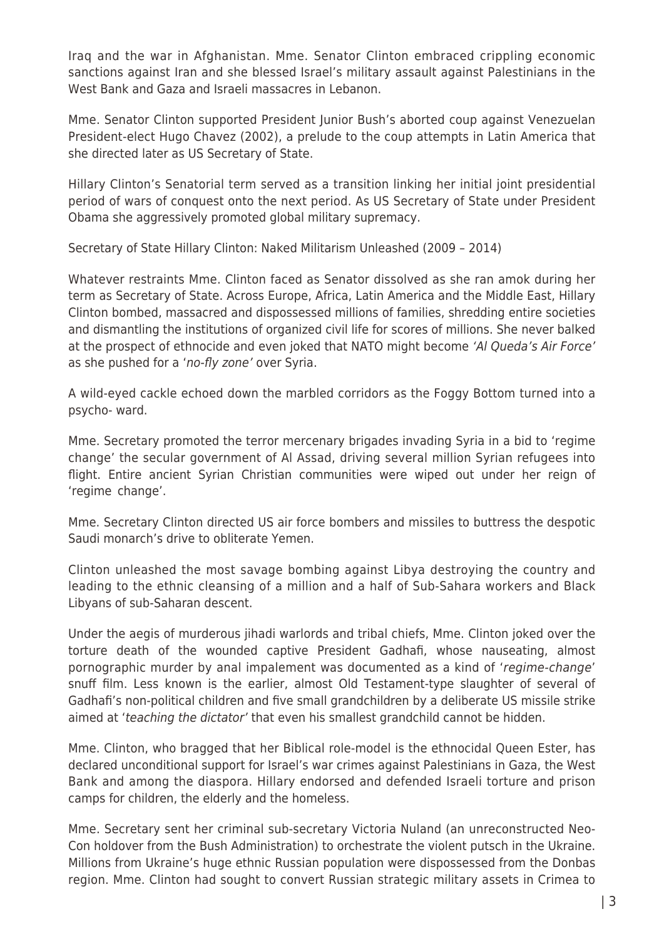Iraq and the war in Afghanistan. Mme. Senator Clinton embraced crippling economic sanctions against Iran and she blessed Israel's military assault against Palestinians in the West Bank and Gaza and Israeli massacres in Lebanon.

Mme. Senator Clinton supported President Junior Bush's aborted coup against Venezuelan President-elect Hugo Chavez (2002), a prelude to the coup attempts in Latin America that she directed later as US Secretary of State.

Hillary Clinton's Senatorial term served as a transition linking her initial joint presidential period of wars of conquest onto the next period. As US Secretary of State under President Obama she aggressively promoted global military supremacy.

Secretary of State Hillary Clinton: Naked Militarism Unleashed (2009 – 2014)

Whatever restraints Mme. Clinton faced as Senator dissolved as she ran amok during her term as Secretary of State. Across Europe, Africa, Latin America and the Middle East, Hillary Clinton bombed, massacred and dispossessed millions of families, shredding entire societies and dismantling the institutions of organized civil life for scores of millions. She never balked at the prospect of ethnocide and even joked that NATO might become 'Al Queda's Air Force' as she pushed for a 'no-fly zone' over Syria.

A wild-eyed cackle echoed down the marbled corridors as the Foggy Bottom turned into a psycho- ward.

Mme. Secretary promoted the terror mercenary brigades invading Syria in a bid to 'regime change' the secular government of Al Assad, driving several million Syrian refugees into flight. Entire ancient Syrian Christian communities were wiped out under her reign of 'regime change'.

Mme. Secretary Clinton directed US air force bombers and missiles to buttress the despotic Saudi monarch's drive to obliterate Yemen.

Clinton unleashed the most savage bombing against Libya destroying the country and leading to the ethnic cleansing of a million and a half of Sub-Sahara workers and Black Libyans of sub-Saharan descent.

Under the aegis of murderous jihadi warlords and tribal chiefs, Mme. Clinton joked over the torture death of the wounded captive President Gadhafi, whose nauseating, almost pornographic murder by anal impalement was documented as a kind of 'regime-change' snuff film. Less known is the earlier, almost Old Testament-type slaughter of several of Gadhafi's non-political children and five small grandchildren by a deliberate US missile strike aimed at 'teaching the dictator' that even his smallest grandchild cannot be hidden.

Mme. Clinton, who bragged that her Biblical role-model is the ethnocidal Queen Ester, has declared unconditional support for Israel's war crimes against Palestinians in Gaza, the West Bank and among the diaspora. Hillary endorsed and defended Israeli torture and prison camps for children, the elderly and the homeless.

Mme. Secretary sent her criminal sub-secretary Victoria Nuland (an unreconstructed Neo-Con holdover from the Bush Administration) to orchestrate the violent putsch in the Ukraine. Millions from Ukraine's huge ethnic Russian population were dispossessed from the Donbas region. Mme. Clinton had sought to convert Russian strategic military assets in Crimea to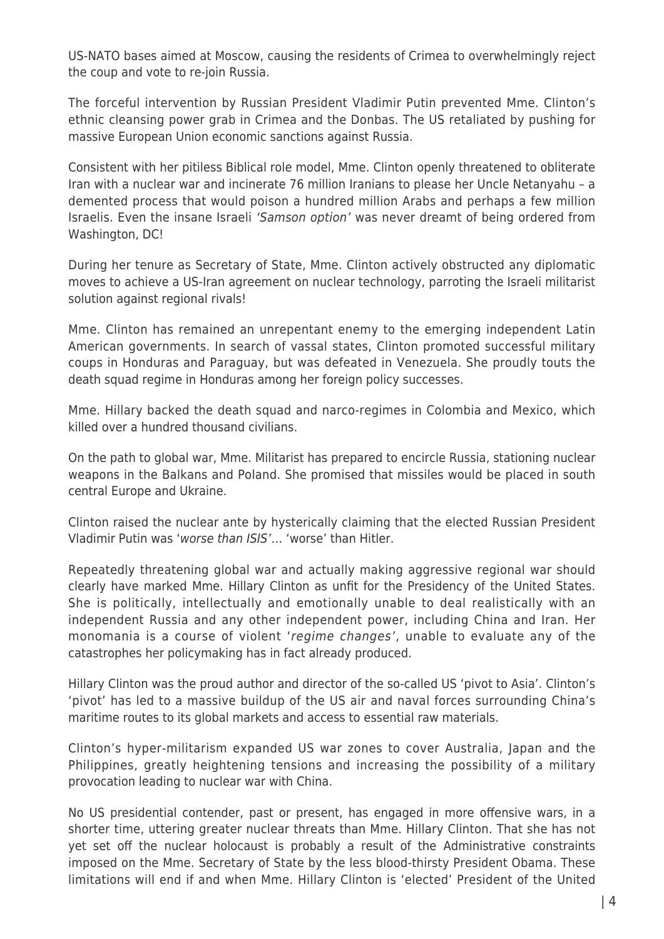US-NATO bases aimed at Moscow, causing the residents of Crimea to overwhelmingly reject the coup and vote to re-join Russia.

The forceful intervention by Russian President Vladimir Putin prevented Mme. Clinton's ethnic cleansing power grab in Crimea and the Donbas. The US retaliated by pushing for massive European Union economic sanctions against Russia.

Consistent with her pitiless Biblical role model, Mme. Clinton openly threatened to obliterate Iran with a nuclear war and incinerate 76 million Iranians to please her Uncle Netanyahu – a demented process that would poison a hundred million Arabs and perhaps a few million Israelis. Even the insane Israeli 'Samson option' was never dreamt of being ordered from Washington, DC!

During her tenure as Secretary of State, Mme. Clinton actively obstructed any diplomatic moves to achieve a US-Iran agreement on nuclear technology, parroting the Israeli militarist solution against regional rivals!

Mme. Clinton has remained an unrepentant enemy to the emerging independent Latin American governments. In search of vassal states, Clinton promoted successful military coups in Honduras and Paraguay, but was defeated in Venezuela. She proudly touts the death squad regime in Honduras among her foreign policy successes.

Mme. Hillary backed the death squad and narco-regimes in Colombia and Mexico, which killed over a hundred thousand civilians.

On the path to global war, Mme. Militarist has prepared to encircle Russia, stationing nuclear weapons in the Balkans and Poland. She promised that missiles would be placed in south central Europe and Ukraine.

Clinton raised the nuclear ante by hysterically claiming that the elected Russian President Vladimir Putin was 'worse than ISIS'… 'worse' than Hitler.

Repeatedly threatening global war and actually making aggressive regional war should clearly have marked Mme. Hillary Clinton as unfit for the Presidency of the United States. She is politically, intellectually and emotionally unable to deal realistically with an independent Russia and any other independent power, including China and Iran. Her monomania is a course of violent 'regime changes', unable to evaluate any of the catastrophes her policymaking has in fact already produced.

Hillary Clinton was the proud author and director of the so-called US 'pivot to Asia'. Clinton's 'pivot' has led to a massive buildup of the US air and naval forces surrounding China's maritime routes to its global markets and access to essential raw materials.

Clinton's hyper-militarism expanded US war zones to cover Australia, Japan and the Philippines, greatly heightening tensions and increasing the possibility of a military provocation leading to nuclear war with China.

No US presidential contender, past or present, has engaged in more offensive wars, in a shorter time, uttering greater nuclear threats than Mme. Hillary Clinton. That she has not yet set off the nuclear holocaust is probably a result of the Administrative constraints imposed on the Mme. Secretary of State by the less blood-thirsty President Obama. These limitations will end if and when Mme. Hillary Clinton is 'elected' President of the United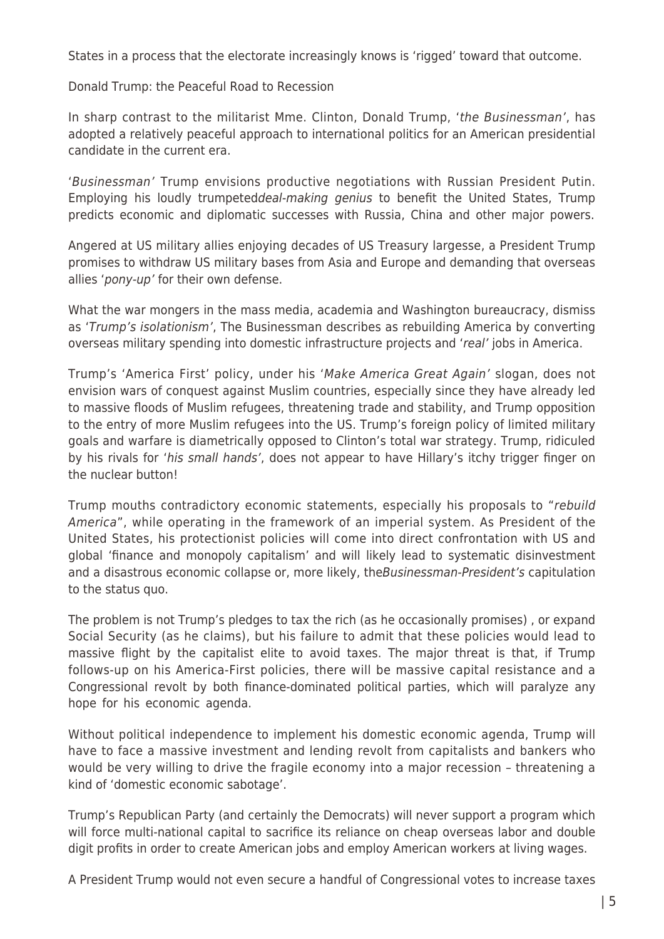States in a process that the electorate increasingly knows is 'rigged' toward that outcome.

## Donald Trump: the Peaceful Road to Recession

In sharp contrast to the militarist Mme. Clinton, Donald Trump, 'the Businessman', has adopted a relatively peaceful approach to international politics for an American presidential candidate in the current era.

'Businessman' Trump envisions productive negotiations with Russian President Putin. Employing his loudly trumpeteddeal-making genius to benefit the United States, Trump predicts economic and diplomatic successes with Russia, China and other major powers.

Angered at US military allies enjoying decades of US Treasury largesse, a President Trump promises to withdraw US military bases from Asia and Europe and demanding that overseas allies 'pony-up' for their own defense.

What the war mongers in the mass media, academia and Washington bureaucracy, dismiss as 'Trump's isolationism', The Businessman describes as rebuilding America by converting overseas military spending into domestic infrastructure projects and 'real' jobs in America.

Trump's 'America First' policy, under his 'Make America Great Again' slogan, does not envision wars of conquest against Muslim countries, especially since they have already led to massive floods of Muslim refugees, threatening trade and stability, and Trump opposition to the entry of more Muslim refugees into the US. Trump's foreign policy of limited military goals and warfare is diametrically opposed to Clinton's total war strategy. Trump, ridiculed by his rivals for 'his small hands', does not appear to have Hillary's itchy trigger finger on the nuclear button!

Trump mouths contradictory economic statements, especially his proposals to "rebuild America", while operating in the framework of an imperial system. As President of the United States, his protectionist policies will come into direct confrontation with US and global 'finance and monopoly capitalism' and will likely lead to systematic disinvestment and a disastrous economic collapse or, more likely, the Businessman-President's capitulation to the status quo.

The problem is not Trump's pledges to tax the rich (as he occasionally promises) , or expand Social Security (as he claims), but his failure to admit that these policies would lead to massive flight by the capitalist elite to avoid taxes. The major threat is that, if Trump follows-up on his America-First policies, there will be massive capital resistance and a Congressional revolt by both finance-dominated political parties, which will paralyze any hope for his economic agenda.

Without political independence to implement his domestic economic agenda, Trump will have to face a massive investment and lending revolt from capitalists and bankers who would be very willing to drive the fragile economy into a major recession – threatening a kind of 'domestic economic sabotage'.

Trump's Republican Party (and certainly the Democrats) will never support a program which will force multi-national capital to sacrifice its reliance on cheap overseas labor and double digit profits in order to create American jobs and employ American workers at living wages.

A President Trump would not even secure a handful of Congressional votes to increase taxes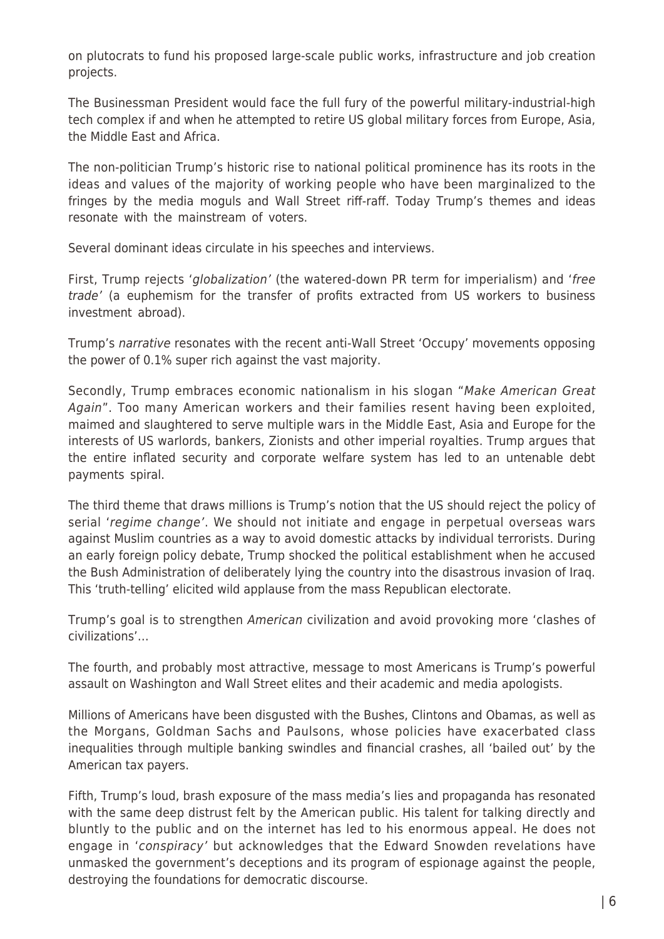on plutocrats to fund his proposed large-scale public works, infrastructure and job creation projects.

The Businessman President would face the full fury of the powerful military-industrial-high tech complex if and when he attempted to retire US global military forces from Europe, Asia, the Middle East and Africa.

The non-politician Trump's historic rise to national political prominence has its roots in the ideas and values of the majority of working people who have been marginalized to the fringes by the media moguls and Wall Street riff-raff. Today Trump's themes and ideas resonate with the mainstream of voters.

Several dominant ideas circulate in his speeches and interviews.

First, Trump rejects 'globalization' (the watered-down PR term for imperialism) and 'free trade' (a euphemism for the transfer of profits extracted from US workers to business investment abroad).

Trump's narrative resonates with the recent anti-Wall Street 'Occupy' movements opposing the power of 0.1% super rich against the vast majority.

Secondly, Trump embraces economic nationalism in his slogan "Make American Great Again". Too many American workers and their families resent having been exploited, maimed and slaughtered to serve multiple wars in the Middle East, Asia and Europe for the interests of US warlords, bankers, Zionists and other imperial royalties. Trump argues that the entire inflated security and corporate welfare system has led to an untenable debt payments spiral.

The third theme that draws millions is Trump's notion that the US should reject the policy of serial 'regime change'. We should not initiate and engage in perpetual overseas wars against Muslim countries as a way to avoid domestic attacks by individual terrorists. During an early foreign policy debate, Trump shocked the political establishment when he accused the Bush Administration of deliberately lying the country into the disastrous invasion of Iraq. This 'truth-telling' elicited wild applause from the mass Republican electorate.

Trump's goal is to strengthen American civilization and avoid provoking more 'clashes of civilizations'…

The fourth, and probably most attractive, message to most Americans is Trump's powerful assault on Washington and Wall Street elites and their academic and media apologists.

Millions of Americans have been disgusted with the Bushes, Clintons and Obamas, as well as the Morgans, Goldman Sachs and Paulsons, whose policies have exacerbated class inequalities through multiple banking swindles and financial crashes, all 'bailed out' by the American tax payers.

Fifth, Trump's loud, brash exposure of the mass media's lies and propaganda has resonated with the same deep distrust felt by the American public. His talent for talking directly and bluntly to the public and on the internet has led to his enormous appeal. He does not engage in 'conspiracy' but acknowledges that the Edward Snowden revelations have unmasked the government's deceptions and its program of espionage against the people, destroying the foundations for democratic discourse.